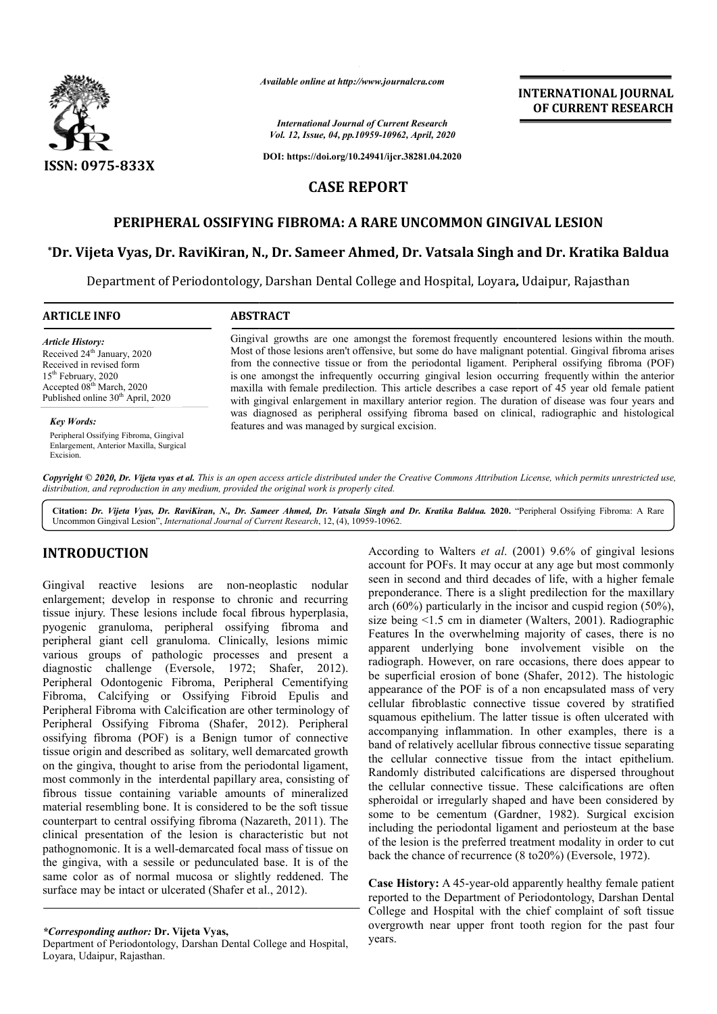

*Available online at http://www.journalcra.com*

*International Journal of Current Research Vol. 12, Issue, 04, pp.10959-10962, April, 2020*

**DOI: https://doi.org/10.24941/ijcr.38281.04.2020**

# **CASE REPORT**

## **PERIPHERAL OSSIFYING FIBROMA: A RARE UNCOMMON GINGIVAL LESION GINGIVAL LESION**

## $^*$ Dr. Vijeta Vyas, Dr. RaviKiran, N., Dr. Sameer Ahmed, Dr. Vatsala Singh and Dr. Kratika Baldua

Department of Periodontology, Darshan Dental College and Hospital, Loyara, Udaipur, Rajasthan Department of Dental College

### **ARTICLE INFO ABSTRACT**

*Article History:* Received 24<sup>th</sup> January, 2020 Received in revised form 15th February, 2020 Accepted 08<sup>th</sup> March, 2020 Published online 30<sup>th</sup> April, 2020

#### *Key Words:*

Peripheral Ossifying Fibroma, Gingival Enlargement, Anterior Maxilla, Surgical Excision.

Gingival growths are one amongst the foremost frequently encountered lesions within the mouth. Most of those lesions aren't offensive, but some do have malignant potential. Gingival fibroma arises from the connective tissue or from the periodontal ligament. Peripheral ossifying fibroma (POF) Most of those lesions aren't offensive, but some do have malignant potential. Gingival fibroma arises from the connective tissue or from the periodontal ligament. Peripheral ossifying fibroma (POF) is one amongst the infre maxilla with female predilection. This article describes a case report of 45 year old female patient maxilla with female predilection. This article describes a case report of 45 year old female patient with gingival enlargement in maxillary anterior region. The duration of disease was four years and was diagnosed as peripheral ossifying fibroma based on clinical, radiographic and histological was based on features and was managed by surgical excision.

Copyright © 2020, Dr. Vijeta vyas et al. This is an open access article distributed under the Creative Commons Attribution License, which permits unrestricted use, *distribution, and reproduction in any medium, provided the original work is properly cited.*

Citation: *Dr. Vijeta Vyas, Dr. RaviKiran, N., Dr. Sameer Ahmed, Dr. Vatsala Singh and Dr. Kratika Baldua. 2020. "Peripheral Ossifying Fibroma: A Rare* Uncommon Gingival Lesion", *International Journal of Current Research*, 12, (4), 10959-10962.

# **INTRODUCTION**

Gingival reactive lesions are non-neoplastic nodular enlargement; develop in response to chronic and recurring tissue injury. These lesions include focal fibrous hyperplasia, pyogenic granuloma, peripheral ossifying fibroma and peripheral giant cell granuloma. Clinically, lesions mimic various groups of pathologic processes and present a diagnostic challenge (Eversole, 1972; Peripheral Odontogenic Fibroma, Peripheral Cementifying Fibroma, Calcifying or Ossifying Fibroid Epulis and Peripheral Fibroma with Calcification are other terminology of Peripheral Ossifying Fibroma (Shafer, 2012). Peripheral ossifying fibroma (POF) is a Benign tumor of connective tissue origin and described as solitary, well demarcated growth on the gingiva, thought to arise from the periodontal ligament, most commonly in the interdental papillary area, consisting of fibrous tissue containing variable amounts of mineralized material resembling bone. It is considered to be the soft tissue counterpart to central ossifying fibroma (Nazareth, 2011). The clinical presentation of the lesion is characteristic but not pathognomonic. It is a well-demarcated focal mass of tissue on the gingiva, with a sessile or pedunculated base. It is of the same color as of normal mucosa or slightly reddened. The surface may be intact or ulcerated (Shafer et al., 2012). mon-neoplastic nodular<br>
e to chronic and recurring<br>
e focal fibrous hyperplasia,<br>
l ossifying fibroma and<br>
Clinically, lesions mimic<br>
processes and present a<br>
, 1972; Shafer, 2012). demarcated focal mass of t<br>or pedunculated base. It i<br>nucosa or slightly redder<br>erated (Shafer et al., 2012).

According to Walters *et al*. (2001) 9.6% of gingival lesions account for POFs. It may occur at any age but most commonly seen in second and third decades of life, with a higher female preponderance. There is a slight predilection for the maxillary arch (60%) particularly in the incisor and cuspid region (50%), size being  $\leq 1.5$  cm in diameter (Walters, 2001). Radiographic Features In the overwhelming majority of cases, there is no apparent underlying bone involvement visible on the radiograph. However, on rare occasions, there does appear to radiograph. However, on rare occasions, there does appear to be superficial erosion of bone (Shafer, 2012). The histologic appearance of the POF is of a non encapsulated mass of very cellular fibroblastic connective tissue covered by stratified squamous epithelium. The latter tissue is often ulcerated with accompanying inflammation. In other examples, there is a band of relatively acellular fibrous connective tissue separating the cellular connective tissue from the intact epithelium. Randomly distributed calcifications are dispersed throughout the cellular connective tissue. These calcifications are often spheroidal or irregularly shaped and have been considered by spheroidal or irregularly shaped and have been considered by some to be cementum (Gardner, 1982). Surgical excision including the periodontal ligament and periosteum at the base including the periodontal ligament and periosteum at the base<br>of the lesion is the preferred treatment modality in order to cut back the chance of recurrence (8 to20%) (Eversole, 1972). account for POFs. It may occur at any age but most commonly seen in second and third decades of life, with a higher female preponderance. There is a slight predilection for the maxillary arch (60%) particularly in the inci of the POF is of a non encapsulated mast<br>broblastic connective tissue covered by<br>epithelium. The latter tissue is often ulcer fively acellular fibrous connective tissue separating<br>connective tissue from the intact epithelium.<br>istributed calcifications are dispersed throughout<br>connective tissue. These calcifications are often **INTERNATIONAL JOURNAL FORMATIONAL JOURNAL FORMATION (SEE ATTACT THE COLUMBER CONTROL THE COLUMBER (SEE ATTACT THE COLUMBER COLUMBER (SEE ATTACT THE COLUMBER COLUMBER (SEE ATTACT THE COLUMBER COLUMBER COLUMBER (SEE ATTACT** 

**INTERNATIONAL JOURNAL OF CURRENT RESEARCH**

**Case History:** A 45-year-old apparently healthy female patient reported to the Department of Periodontology, Darshan Dental College and Hospital with the chief complaint of soft tissue overgrowth near upper front tooth region for the past four years.

*<sup>\*</sup>Corresponding author:* **Dr. Vijeta Vyas,** 

Department of Periodontology, Darshan Dental College and Hospital, Loyara, Udaipur, Rajasthan.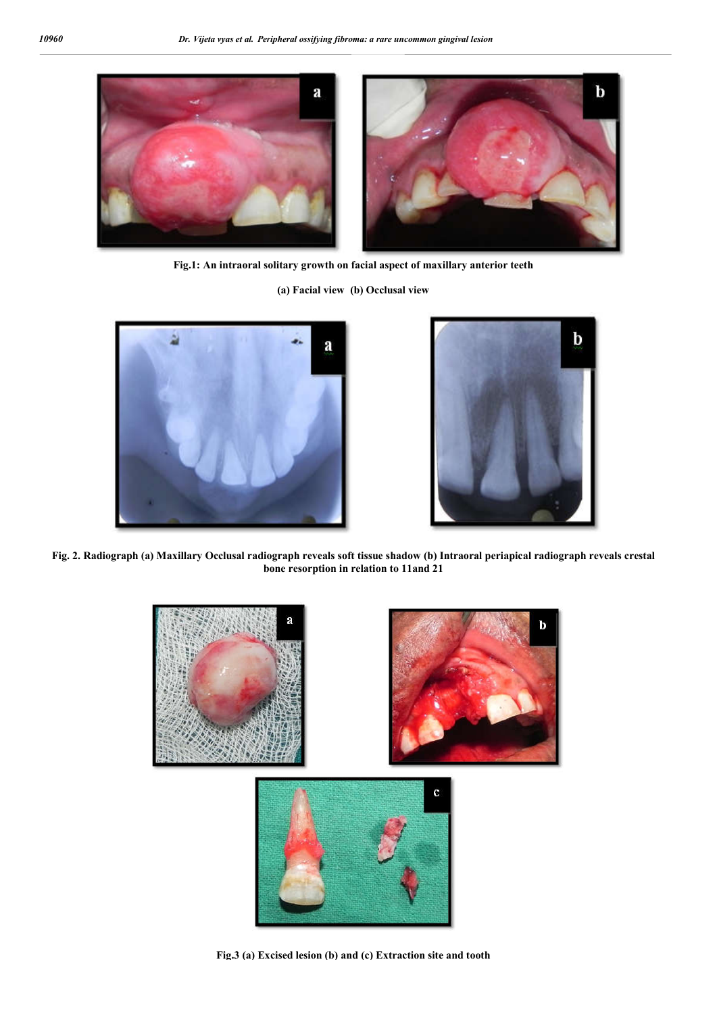

**Fig.1: An intraoral solitary growth on facial aspect of maxillary anterior teeth**

**(a) Facial view (b) Occlusal view**





**Fig. 2. Radiograph (a) Maxillary Occlusal radiograph reveals soft tissue shadow (b) Intraoral periapical radiograph reveals crestal bone resorption in relation to 11and 21**



**Fig.3 (a) Excised lesion (b) and (c) Extraction site and tooth**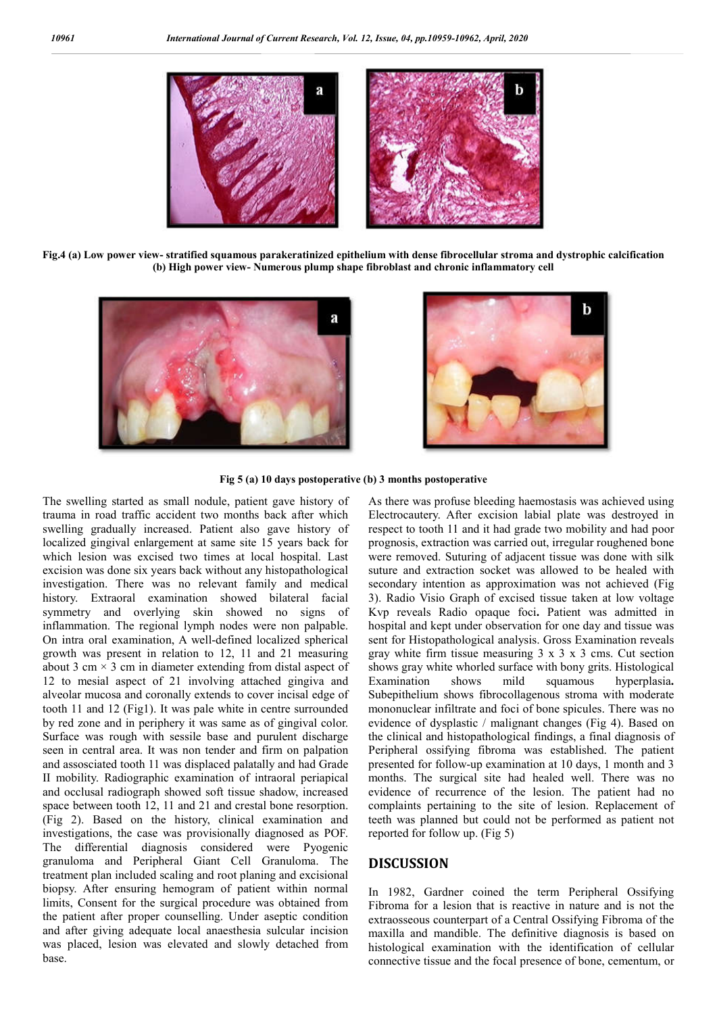

**Fig.4 (a) Low power view- stratified squamous parakeratinized epithelium with dense fibrocellular stroma and dystrophic calcification (b) High power view- Numerous plump shape fibroblast and chronic inflammatory cell**





**Fig 5 (a) 10 days postoperative (b) 3 months postoperative**

The swelling started as small nodule, patient gave history of trauma in road traffic accident two months back after which swelling gradually increased. Patient also gave history of localized gingival enlargement at same site 15 years back for which lesion was excised two times at local hospital. Last excision was done six years back without any histopathological investigation. There was no relevant family and medical history. Extraoral examination showed bilateral facial symmetry and overlying skin showed no signs of inflammation. The regional lymph nodes were non palpable. On intra oral examination, A well-defined localized spherical growth was present in relation to 12, 11 and 21 measuring about 3 cm  $\times$  3 cm in diameter extending from distal aspect of 12 to mesial aspect of 21 involving attached gingiva and alveolar mucosa and coronally extends to cover incisal edge of tooth 11 and 12 (Fig1). It was pale white in centre surrounded by red zone and in periphery it was same as of gingival color. Surface was rough with sessile base and purulent discharge seen in central area. It was non tender and firm on palpation and assosciated tooth 11 was displaced palatally and had Grade II mobility. Radiographic examination of intraoral periapical and occlusal radiograph showed soft tissue shadow, increased space between tooth 12, 11 and 21 and crestal bone resorption. (Fig 2). Based on the history, clinical examination and investigations, the case was provisionally diagnosed as POF. The differential diagnosis considered were Pyogenic granuloma and Peripheral Giant Cell Granuloma. The treatment plan included scaling and root planing and excisional biopsy. After ensuring hemogram of patient within normal limits, Consent for the surgical procedure was obtained from the patient after proper counselling. Under aseptic condition and after giving adequate local anaesthesia sulcular incision was placed, lesion was elevated and slowly detached from base.

As there was profuse bleeding haemostasis was achieved using Electrocautery. After excision labial plate was destroyed in respect to tooth 11 and it had grade two mobility and had poor prognosis, extraction was carried out, irregular roughened bone were removed. Suturing of adjacent tissue was done with silk suture and extraction socket was allowed to be healed with secondary intention as approximation was not achieved (Fig 3). Radio Visio Graph of excised tissue taken at low voltage Kvp reveals Radio opaque foci**.** Patient was admitted in hospital and kept under observation for one day and tissue was sent for Histopathological analysis. Gross Examination reveals gray white firm tissue measuring  $3 \times 3 \times 3$  cms. Cut section shows gray white whorled surface with bony grits. Histological Examination shows mild squamous hyperplasia**.** Subepithelium shows fibrocollagenous stroma with moderate mononuclear infiltrate and foci of bone spicules. There was no evidence of dysplastic / malignant changes (Fig 4). Based on the clinical and histopathological findings, a final diagnosis of Peripheral ossifying fibroma was established. The patient presented for follow-up examination at 10 days, 1 month and 3 months. The surgical site had healed well. There was no evidence of recurrence of the lesion. The patient had no complaints pertaining to the site of lesion. Replacement of teeth was planned but could not be performed as patient not reported for follow up. (Fig 5)

## **DISCUSSION**

In 1982, Gardner coined the term Peripheral Ossifying Fibroma for a lesion that is reactive in nature and is not the extraosseous counterpart of a Central Ossifying Fibroma of the maxilla and mandible. The definitive diagnosis is based on histological examination with the identification of cellular connective tissue and the focal presence of bone, cementum, or